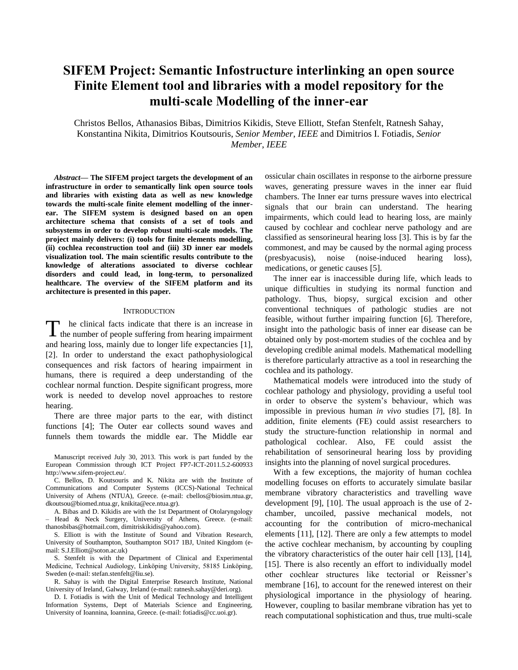# **SIFEM Project: Semantic Infostructure interlinking an open source Finite Element tool and libraries with a model repository for the multi-scale Modelling of the inner-ear**

Christos Bellos, Athanasios Bibas, Dimitrios Kikidis, Steve Elliott, Stefan Stenfelt, Ratnesh Sahay, Konstantina Nikita, Dimitrios Koutsouris, *Senior Member*, *IEEE* and Dimitrios I. Fotiadis, *Senior Member*, *IEEE*

*Abstract***— The SIFEM project targets the development of an infrastructure in order to semantically link open source tools and libraries with existing data as well as new knowledge towards the multi-scale finite element modelling of the innerear. The SIFEM system is designed based on an open architecture schema that consists of a set of tools and subsystems in order to develop robust multi-scale models. The project mainly delivers: (i) tools for finite elements modelling, (ii) cochlea reconstruction tool and (iii) 3D inner ear models visualization tool. The main scientific results contribute to the knowledge of alterations associated to diverse cochlear disorders and could lead, in long-term, to personalized healthcare. The overview of the SIFEM platform and its architecture is presented in this paper.**

#### **INTRODUCTION**

he clinical facts indicate that there is an increase in The clinical facts indicate that there is an increase in the number of people suffering from hearing impairment and hearing loss, mainly due to longer life expectancies [1], [2]. In order to understand the exact pathophysiological consequences and risk factors of hearing impairment in humans, there is required a deep understanding of the cochlear normal function. Despite significant progress, more work is needed to develop novel approaches to restore hearing.

There are three major parts to the ear, with distinct functions [4]; The Outer ear collects sound waves and funnels them towards the middle ear. The Middle ear

Manuscript received July 30, 2013. This work is part funded by the European Commission through ICT Project FP7-ICT-2011.5.2-600933 http://www.sifem-project.eu/.

C. Bellos, D. Koutsouris and K. Nikita are with the Institute of Communications and Computer Systems (ICCS)-National Technical University of Athens (NTUA), Greece. (e-mail: [cbellos@biosim.ntua.gr,](mailto:cbellos@biosim.ntua.gr)  [dkoutsou@biomed.ntua.gr,](mailto:dkoutsou@biomed.ntua.gr) knikita@ece.ntua.gr).

A. Bibas and D. Kikidis are with the 1st Department of Otolaryngology – Head & Neck Surgery, University of Athens, Greece. (e-mail: [thanosbibas@hotmail.com,](mailto:thanosbibas@hotmail.com) dimitriskikidis@yahoo.com).

S. Elliott is with the Institute of Sound and Vibration Research, University of Southampton, Southampton SO17 1BJ, United Kingdom (email: S.J.Elliott@soton.ac.uk)

S. Stenfelt is with the Department of Clinical and Experimental Medicine, Technical Audiology, Linköping University, 58185 Linköping, Sweden (e-mail: stefan.stenfelt@liu.se).

R. Sahay is with the Digital Enterprise Research Institute, National University of Ireland, Galway, Ireland (e-mail: [ratnesh.sahay@deri.org\)](mailto:ratnesh.sahay@deri.org).

D. I. Fotiadis is with the Unit of Medical Technology and Intelligent Information Systems, Dept of Materials Science and Engineering, University of Ioannina, Ioannina, Greece. (e-mail: fotiadis@cc.uoi.gr).

ossicular chain oscillates in response to the airborne pressure waves, generating pressure waves in the inner ear fluid chambers. The Inner ear turns pressure waves into electrical signals that our brain can understand. The hearing impairments, which could lead to hearing loss, are mainly caused by cochlear and cochlear nerve pathology and are classified as sensorineural hearing loss [3]. This is by far the commonest, and may be caused by the normal aging process (presbyacusis), noise (noise-induced hearing loss), medications, or genetic causes [5].

The inner ear is inaccessible during life, which leads to unique difficulties in studying its normal function and pathology. Thus, biopsy, surgical excision and other conventional techniques of pathologic studies are not feasible, without further impairing function [6]. Therefore, insight into the pathologic basis of inner ear disease can be obtained only by post-mortem studies of the cochlea and by developing credible animal models. Mathematical modelling is therefore particularly attractive as a tool in researching the cochlea and its pathology.

Mathematical models were introduced into the study of cochlear pathology and physiology, providing a useful tool in order to observe the system's behaviour, which was impossible in previous human *in vivo* studies [7], [8]. In addition, finite elements (FE) could assist researchers to study the structure-function relationship in normal and pathological cochlear. Also, FE could assist the rehabilitation of sensorineural hearing loss by providing insights into the planning of novel surgical procedures.

With a few exceptions, the majority of human cochlea modelling focuses on efforts to accurately simulate basilar membrane vibratory characteristics and travelling wave development [9], [10]. The usual approach is the use of 2 chamber, uncoiled, passive mechanical models, not accounting for the contribution of micro-mechanical elements [11], [12]. There are only a few attempts to model the active cochlear mechanism, by accounting by coupling the vibratory characteristics of the outer hair cell [13], [14], [15]. There is also recently an effort to individually model other cochlear structures like tectorial or Reissner's membrane [16], to account for the renewed interest on their physiological importance in the physiology of hearing. However, coupling to basilar membrane vibration has yet to reach computational sophistication and thus, true multi-scale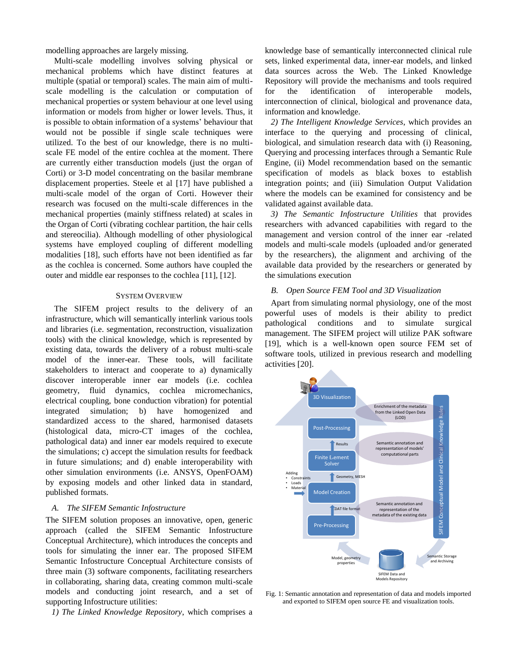modelling approaches are largely missing.

Multi-scale modelling involves solving physical or mechanical problems which have distinct features at multiple (spatial or temporal) scales. The main aim of multiscale modelling is the calculation or computation of mechanical properties or system behaviour at one level using information or models from higher or lower levels. Thus, it is possible to obtain information of a systems' behaviour that would not be possible if single scale techniques were utilized. To the best of our knowledge, there is no multiscale FE model of the entire cochlea at the moment. There are currently either transduction models (just the organ of Corti) or 3-D model concentrating on the basilar membrane displacement properties. Steele et al [17] have published a multi-scale model of the organ of Corti. However their research was focused on the multi-scale differences in the mechanical properties (mainly stiffness related) at scales in the Organ of Corti (vibrating cochlear partition, the hair cells and stereocilia). Although modelling of other physiological systems have employed coupling of different modelling modalities [18], such efforts have not been identified as far as the cochlea is concerned. Some authors have coupled the outer and middle ear responses to the cochlea [11], [12].

### SYSTEM OVERVIEW

The SIFEM project results to the delivery of an infrastructure, which will semantically interlink various tools and libraries (i.e. segmentation, reconstruction, visualization tools) with the clinical knowledge, which is represented by existing data, towards the delivery of a robust multi-scale model of the inner-ear. These tools, will facilitate stakeholders to interact and cooperate to a) dynamically discover interoperable inner ear models (i.e. cochlea geometry, fluid dynamics, cochlea micromechanics, electrical coupling, bone conduction vibration) for potential integrated simulation; b) have homogenized and standardized access to the shared, harmonised datasets (histological data, micro-CT images of the cochlea, pathological data) and inner ear models required to execute the simulations; c) accept the simulation results for feedback in future simulations; and d) enable interoperability with other simulation environments (i.e. ANSYS, OpenFOAM) by exposing models and other linked data in standard, published formats.

# *A. The SIFEM Semantic Infostructure*

The SIFEM solution proposes an innovative, open, generic approach (called the SIFEM Semantic Infostructure Conceptual Architecture), which introduces the concepts and tools for simulating the inner ear. The proposed SIFEM Semantic Infostructure Conceptual Architecture consists of three main (3) software components, facilitating researchers in collaborating, sharing data, creating common multi-scale models and conducting joint research, and a set of supporting Infostructure utilities:

*1) The Linked Knowledge Repository*, which comprises a

knowledge base of semantically interconnected clinical rule sets, linked experimental data, inner-ear models, and linked data sources across the Web. The Linked Knowledge Repository will provide the mechanisms and tools required for the identification of interoperable models, interconnection of clinical, biological and provenance data, information and knowledge.

*2) The Intelligent Knowledge Services*, which provides an interface to the querying and processing of clinical, biological, and simulation research data with (i) Reasoning, Querying and processing interfaces through a Semantic Rule Engine, (ii) Model recommendation based on the semantic specification of models as black boxes to establish integration points; and (iii) Simulation Output Validation where the models can be examined for consistency and be validated against available data.

*3) The Semantic Infostructure Utilities* that provides researchers with advanced capabilities with regard to the management and version control of the inner ear -related models and multi-scale models (uploaded and/or generated by the researchers), the alignment and archiving of the available data provided by the researchers or generated by the simulations execution

## *B. Open Source FEM Tool and 3D Visualization*

Apart from simulating normal physiology, one of the most powerful uses of models is their ability to predict pathological conditions and to simulate surgical management. The SIFEM project will utilize PAK software [19], which is a well-known open source FEM set of software tools, utilized in previous research and modelling activities [20].



<span id="page-1-0"></span>Fig. 1: Semantic annotation and representation of data and models imported and exported to SIFEM open source FE and visualization tools.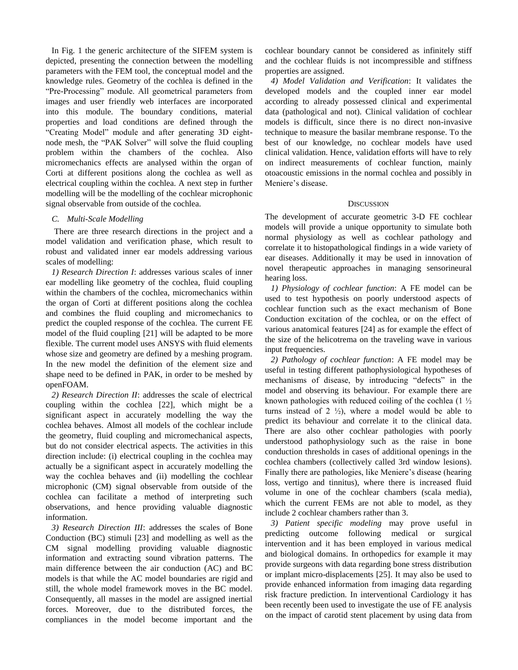In [Fig. 1](#page-1-0) the generic architecture of the SIFEM system is depicted, presenting the connection between the modelling parameters with the FEM tool, the conceptual model and the knowledge rules. Geometry of the cochlea is defined in the "Pre-Processing" module. All geometrical parameters from images and user friendly web interfaces are incorporated into this module. The boundary conditions, material properties and load conditions are defined through the "Creating Model" module and after generating 3D eightnode mesh, the "PAK Solver" will solve the fluid coupling problem within the chambers of the cochlea. Also micromechanics effects are analysed within the organ of Corti at different positions along the cochlea as well as electrical coupling within the cochlea. A next step in further modelling will be the modelling of the cochlear microphonic signal observable from outside of the cochlea.

## *C. Multi-Scale Modelling*

There are three research directions in the project and a model validation and verification phase, which result to robust and validated inner ear models addressing various scales of modelling:

*1) Research Direction I*: addresses various scales of inner ear modelling like geometry of the cochlea, fluid coupling within the chambers of the cochlea, micromechanics within the organ of Corti at different positions along the cochlea and combines the fluid coupling and micromechanics to predict the coupled response of the cochlea. The current FE model of the fluid coupling [21] will be adapted to be more flexible. The current model uses ANSYS with fluid elements whose size and geometry are defined by a meshing program. In the new model the definition of the element size and shape need to be defined in PAK, in order to be meshed by openFOAM.

*2) Research Direction II*: addresses the scale of electrical coupling within the cochlea [22], which might be a significant aspect in accurately modelling the way the cochlea behaves. Almost all models of the cochlear include the geometry, fluid coupling and micromechanical aspects, but do not consider electrical aspects. The activities in this direction include: (i) electrical coupling in the cochlea may actually be a significant aspect in accurately modelling the way the cochlea behaves and (ii) modelling the cochlear microphonic (CM) signal observable from outside of the cochlea can facilitate a method of interpreting such observations, and hence providing valuable diagnostic information.

*3) Research Direction III*: addresses the scales of Bone Conduction (BC) stimuli [23] and modelling as well as the CM signal modelling providing valuable diagnostic information and extracting sound vibration patterns. The main difference between the air conduction (AC) and BC models is that while the AC model boundaries are rigid and still, the whole model framework moves in the BC model. Consequently, all masses in the model are assigned inertial forces. Moreover, due to the distributed forces, the compliances in the model become important and the

cochlear boundary cannot be considered as infinitely stiff and the cochlear fluids is not incompressible and stiffness properties are assigned.

*4) Model Validation and Verification*: It validates the developed models and the coupled inner ear model according to already possessed clinical and experimental data (pathological and not). Clinical validation of cochlear models is difficult, since there is no direct non-invasive technique to measure the basilar membrane response. To the best of our knowledge, no cochlear models have used clinical validation. Hence, validation efforts will have to rely on indirect measurements of cochlear function, mainly otoacoustic emissions in the normal cochlea and possibly in Meniere's disease.

#### **DISCUSSION**

The development of accurate geometric 3-D FE cochlear models will provide a unique opportunity to simulate both normal physiology as well as cochlear pathology and correlate it to histopathological findings in a wide variety of ear diseases. Additionally it may be used in innovation of novel therapeutic approaches in managing sensorineural hearing loss.

*1) Physiology of cochlear function*: A FE model can be used to test hypothesis on poorly understood aspects of cochlear function such as the exact mechanism of Bone Conduction excitation of the cochlea, or on the effect of various anatomical features [24] as for example the effect of the size of the helicotrema on the traveling wave in various input frequencies.

*2) Pathology of cochlear function*: A FE model may be useful in testing different pathophysiological hypotheses of mechanisms of disease, by introducing "defects" in the model and observing its behaviour. For example there are known pathologies with reduced coiling of the cochlea (1 ½ turns instead of  $2 \frac{1}{2}$ , where a model would be able to predict its behaviour and correlate it to the clinical data. There are also other cochlear pathologies with poorly understood pathophysiology such as the raise in bone conduction thresholds in cases of additional openings in the cochlea chambers (collectively called 3rd window lesions). Finally there are pathologies, like Meniere's disease (hearing loss, vertigo and tinnitus), where there is increased fluid volume in one of the cochlear chambers (scala media), which the current FEMs are not able to model, as they include 2 cochlear chambers rather than 3.

*3) Patient specific modeling* may prove useful in predicting outcome following medical or surgical intervention and it has been employed in various medical and biological domains. In orthopedics for example it may provide surgeons with data regarding bone stress distribution or implant micro-displacements [25]. It may also be used to provide enhanced information from imaging data regarding risk fracture prediction. In interventional Cardiology it has been recently been used to investigate the use of FE analysis on the impact of carotid stent placement by using data from